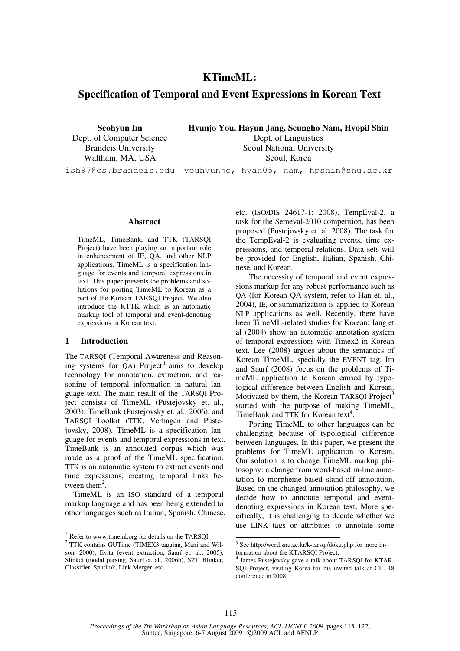# **KTimeML:**

# **Specification of Temporal and Event Expressions in Korean Text**

**Seohyun Im**  Dept. of Computer Science Brandeis University Waltham, MA, USA

**Hyunjo You, Hayun Jang, Seungho Nam, Hyopil Shin**  Dept. of Linguistics Seoul National University Seoul, Korea

ish97@cs.brandeis.edu youhyunjo, hyan05, nam, hpshin@snu.ac.kr

#### **Abstract**

TimeML, TimeBank, and TTK (TARSQI Project) have been playing an important role in enhancement of IE, QA, and other NLP applications. TimeML is a specification language for events and temporal expressions in text. This paper presents the problems and solutions for porting TimeML to Korean as a part of the Korean TARSQI Project. We also introduce the KTTK which is an automatic markup tool of temporal and event-denoting expressions in Korean text.

#### **1 Introduction**

The TARSQI (Temporal Awareness and Reasoning systems for  $QA$ ) Project<sup>1</sup> aims to develop technology for annotation, extraction, and reasoning of temporal information in natural language text. The main result of the TARSQI Project consists of TimeML (Pustejovsky et. al., 2003), TimeBank (Pustejovsky et. al., 2006), and TARSQI Toolkit (TTK, Verhagen and Pustejovsky, 2008). TimeML is a specification language for events and temporal expressions in text. TimeBank is an annotated corpus which was made as a proof of the TimeML specification. TTK is an automatic system to extract events and time expressions, creating temporal links between them<sup>2</sup>.

TimeML is an ISO standard of a temporal markup language and has been being extended to other languages such as Italian, Spanish, Chinese, etc. (ISO/DIS 24617-1: 2008). TempEval-2, a task for the Semeval-2010 competition, has been proposed (Pustejovsky et. al. 2008). The task for the TempEval-2 is evaluating events, time expressions, and temporal relations. Data sets will be provided for English, Italian, Spanish, Chinese, and Korean.

The necessity of temporal and event expressions markup for any robust performance such as QA (for Korean QA system, refer to Han et. al., 2004), IE, or summarization is applied to Korean NLP applications as well. Recently, there have been TimeML-related studies for Korean: Jang et. al (2004) show an automatic annotation system of temporal expressions with Timex2 in Korean text. Lee (2008) argues about the semantics of Korean TimeML, specially the EVENT tag. Im and Saurí (2008) focus on the problems of TimeML application to Korean caused by typological difference between English and Korean. Motivated by them, the Korean TARSQI Project<sup>3</sup> started with the purpose of making TimeML, TimeBank and TTK for Korean text<sup>4</sup>.

Porting TimeML to other languages can be challenging because of typological difference between languages. In this paper, we present the problems for TimeML application to Korean. Our solution is to change TimeML markup philosophy: a change from word-based in-line annotation to morpheme-based stand-off annotation. Based on the changed annotation philosophy, we decide how to annotate temporal and eventdenoting expressions in Korean text. More specifically, it is challenging to decide whether we use LINK tags or attributes to annotate some

<sup>1</sup> Refer to www.timeml.org for details on the TARSQI.

<sup>&</sup>lt;sup>2</sup> TTK contains GUTime (TIMEX3 tagging, Mani and Wilson, 2000), Evita (event extraction, Saurí et. al., 2005), Slinket (modal parsing, Saurí et. al., 2006b), S2T, Blinker, Classifier, Sputlink, Link Merger, etc.

 3 See http://word.snu.ac.kr/k-tarsqi/doku.php for more information about the KTARSQI Project.

<sup>4</sup> James Pustejovsky gave a talk about TARSQI for KTAR-SQI Project, visiting Korea for his invited talk at CIL 18 conference in 2008.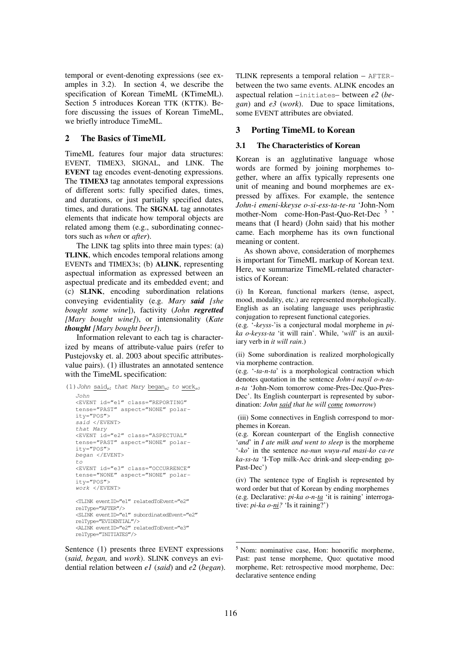temporal or event-denoting expressions (see examples in 3.2). In section 4, we describe the specification of Korean TimeML (KTimeML). Section 5 introduces Korean TTK (KTTK). Before discussing the issues of Korean TimeML, we briefly introduce TimeML.

## **2 The Basics of TimeML**

TimeML features four major data structures: EVENT, TIMEX3, SIGNAL, and LINK. The **EVENT** tag encodes event-denoting expressions. The **TIMEX3** tag annotates temporal expressions of different sorts: fully specified dates, times, and durations, or just partially specified dates, times, and durations. The **SIGNAL** tag annotates elements that indicate how temporal objects are related among them (e.g., subordinating connectors such as *when* or *after*).

The LINK tag splits into three main types: (a) **TLINK**, which encodes temporal relations among EVENTs and TIMEX3s; (b) **ALINK**, representing aspectual information as expressed between an aspectual predicate and its embedded event; and (c) **SLINK**, encoding subordination relations conveying evidentiality (e.g. *Mary said [she bought some wine*]), factivity (*John regretted [Mary bought wine]*), or intensionality (*Kate thought [Mary bought beer]*).

Information relevant to each tag is characterized by means of attribute-value pairs (refer to Pustejovsky et. al. 2003 about specific attributesvalue pairs). (1) illustrates an annotated sentence with the TimeML specification:

```
(1) John said<sub>el</sub> that Mary began<sub>e2</sub> to work<sub>e3</sub>
   John 
   <EVENT id="e1" class="REPORTING" 
   tense="PAST" aspect="NONE" polar-
   ity="POS"> 
   said </EVENT> 
   that Mary 
   <EVENT id="e2" class="ASPECTUAL" 
   tense="PAST" aspect="NONE" polar-
   ity="POS"> 
   began </EVENT> 
   to
   <EVENT id="e3" class="OCCURRENCE" 
   tense="NONE" aspect="NONE" polar-
   ity="POS"> 
   work </EVENT>
   <TLINK eventID="e1" relatedToEvent="e2" 
   relType="AFTER"/> 
   <SLINK eventID="e1" subordinatedEvent="e2" 
   relType="EVIDENTIAL"/> 
   <ALINK eventID="e2" relatedToEvent="e3" 
   relType="INITIATES"/>
```
Sentence (1) presents three EVENT expressions (*said, began,* and *work*). SLINK conveys an evidential relation between *e1* (*said*) and *e2* (*began*). TLINK represents a temporal relation – AFTERbetween the two same events. ALINK encodes an aspectual relation –initiates– between *e2* (*began*) and *e3* (*work*). Due to space limitations, some EVENT attributes are obviated.

## **3 Porting TimeML to Korean**

### **3.1 The Characteristics of Korean**

Korean is an agglutinative language whose words are formed by joining morphemes together, where an affix typically represents one unit of meaning and bound morphemes are expressed by affixes. For example, the sentence *John-i emeni-kkeyse o-si-ess-ta-te-ra* 'John-Nom mother-Nom come-Hon-Past-Quo-Ret-Dec<sup>5</sup>' means that (I heard) (John said) that his mother came. Each morpheme has its own functional meaning or content.

As shown above, consideration of morphemes is important for TimeML markup of Korean text. Here, we summarize TimeML-related characteristics of Korean:

(i) In Korean, functional markers (tense, aspect, mood, modality, etc.) are represented morphologically. English as an isolating language uses periphrastic conjugation to represent functional categories.

(e.g. '-*keyss*-'is a conjectural modal morpheme in *pika o-keyss-ta* 'it will rain'. While, '*will*' is an auxiliary verb in *it will rain*.)

(ii) Some subordination is realized morphologically via morpheme contraction.

(e.g. '-*ta-n-ta*' is a morphological contraction which denotes quotation in the sentence *John-i nayil o-n-tan-ta* 'John-Nom tomorrow come-Pres-Dec.Quo-Pres-Dec'. Its English counterpart is represented by subordination: *John said that he will come tomorrow*)

 (iii) Some connectives in English correspond to morphemes in Korean.

(e.g. Korean counterpart of the English connective '*and*' in *I ate milk and went to sleep* is the morpheme '-*ko*' in the sentence *na-nun wuyu-rul masi-ko ca-re ka-ss-ta* 'I-Top milk-Acc drink-and sleep-ending go-Past-Dec')

(iv) The sentence type of English is represented by word order but that of Korean by ending morphemes (e.g. Declarative: *pi-ka o-n-ta* 'it is raining' interrogative: *pi-ka o-ni?* 'Is it raining?')

<sup>&</sup>lt;sup>5</sup> Nom: nominative case, Hon: honorific morpheme, Past: past tense morpheme, Quo: quotative mood morpheme, Ret: retrospective mood morpheme, Dec: declarative sentence ending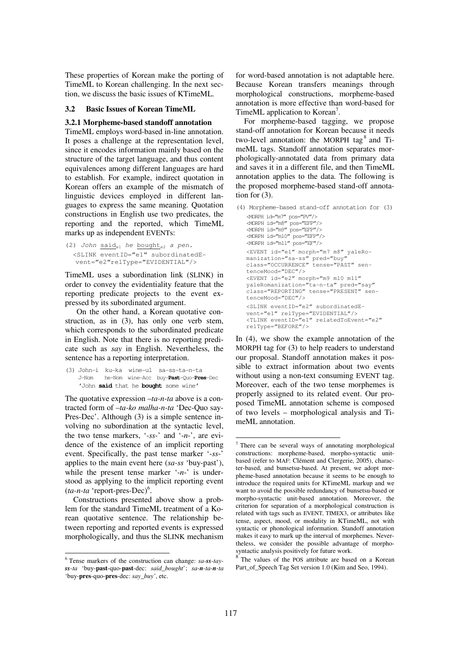These properties of Korean make the porting of TimeML to Korean challenging. In the next section, we discuss the basic issues of KTimeML.

#### **3.2 Basic Issues of Korean TimeML**

#### **3.2.1 Morpheme-based standoff annotation**

TimeML employs word-based in-line annotation. It poses a challenge at the representation level, since it encodes information mainly based on the structure of the target language, and thus content equivalences among different languages are hard to establish. For example, indirect quotation in Korean offers an example of the mismatch of linguistic devices employed in different languages to express the same meaning. Quotation constructions in English use two predicates, the reporting and the reported, which TimeML marks up as independent EVENTs:

```
(2) John said<sub>e1</sub> he bought<sub>e2</sub> a pen.
   <SLINK eventID="e1" subordinatedE-
  vent="e2"relType="EVIDENTIAL"/>
```
TimeML uses a subordination link (SLINK) in order to convey the evidentiality feature that the reporting predicate projects to the event expressed by its subordinated argument.

On the other hand, a Korean quotative construction, as in (3), has only one verb stem, which corresponds to the subordinated predicate in English. Note that there is no reporting predicate such as *say* in English. Nevertheless, the sentence has a reporting interpretation.

(3) John-i ku-ka wine-ul sa-ss-ta-n-ta J-Nom he-Nom wine-Acc buy-**Past**-Quo-**Pres**-Dec 'John **said** that he **bought** some wine'

The quotative expression –*ta-n-ta* above is a contracted form of –*ta-ko malha-n-ta* 'Dec-Quo say-Pres-Dec'. Although (3) is a simple sentence involving no subordination at the syntactic level, the two tense markers, '*-ss-*' and '-*n*-', are evidence of the existence of an implicit reporting event. Specifically, the past tense marker '-*ss*-' applies to the main event here (*sa-ss* 'buy-past'), while the present tense marker '-*n*-' is understood as applying to the implicit reporting event  $(ta-n-ta$  'report-pres-Dec)<sup>6</sup>.

Constructions presented above show a problem for the standard TimeML treatment of a Korean quotative sentence. The relationship between reporting and reported events is expressed morphologically, and thus the SLINK mechanism

for word-based annotation is not adaptable here. Because Korean transfers meanings through morphological constructions, morpheme-based annotation is more effective than word-based for TimeML application to Korean<sup>7</sup>.

For morpheme-based tagging, we propose stand-off annotation for Korean because it needs two-level annotation: the MORPH tag<sup>8</sup> and TimeML tags. Standoff annotation separates morphologically-annotated data from primary data and saves it in a different file, and then TimeML annotation applies to the data. The following is the proposed morpheme-based stand-off annotation for (3).

(4) Morpheme-based stand-off annotation for (3) <MORPH id="m7" pos="PV"/>

<MORPH id="m8" pos="EFP"/> <MORPH id="m9" pos="EFP"/> <MORPH id="m10" pos="EFP"/> <MORPH id="m11" pos="EF"/> <EVENT id="e1" morph="m7 m8" yaleRomanization="sa-ss" pred="buy" class="OCCURRENCE" tense="PAST" sentenceMood="DEC"/> <EVENT id="e2" morph="m9 m10 m11" yaleRomanization="ta-n-ta" pred="say" class="REPORTING" tense="PRESENT" sentenceMood="DEC"/> <SLINK eventID="e2" subordinatedEvent="e1" relType="EVIDENTIAL"/> <TLINK eventID="e1" relatedToEvent="e2" relType="BEFORE"/>

In (4), we show the example annotation of the MORPH tag for (3) to help readers to understand our proposal. Standoff annotation makes it possible to extract information about two events without using a non-text consuming EVENT tag. Moreover, each of the two tense morphemes is properly assigned to its related event. Our proposed TimeML annotation scheme is composed of two levels – morphological analysis and TimeML annotation.

8 The values of the POS attribute are based on a Korean Part\_of\_Speech Tag Set version 1.0 (Kim and Seo, 1994).

<sup>6</sup> Tense markers of the construction can change: *sa-ss-tayss-ta* 'buy-**past**-quo-**past**-dec: *said\_bought*'; *sa-n-ta-n-ta* 'buy-**pres**-quo-**pres**-dec: *say\_buy'*, etc.

<sup>&</sup>lt;sup>7</sup> There can be several ways of annotating morphological constructions: morpheme-based, morpho-syntactic unitbased (refer to MAF: Clément and Clergerie, 2005), character-based, and bunsetsu-based. At present, we adopt morpheme-based annotation because it seems to be enough to introduce the required units for KTimeML markup and we want to avoid the possible redundancy of bunsetsu-based or morpho-syntactic unit-based annotation. Moreover, the criterion for separation of a morphological construction is related with tags such as EVENT, TIMEX3, or attributes like tense, aspect, mood, or modality in KTimeML, not with syntactic or phonological information. Standoff annotation makes it easy to mark up the interval of morphemes. Nevertheless, we consider the possible advantage of morphosyntactic analysis positively for future work.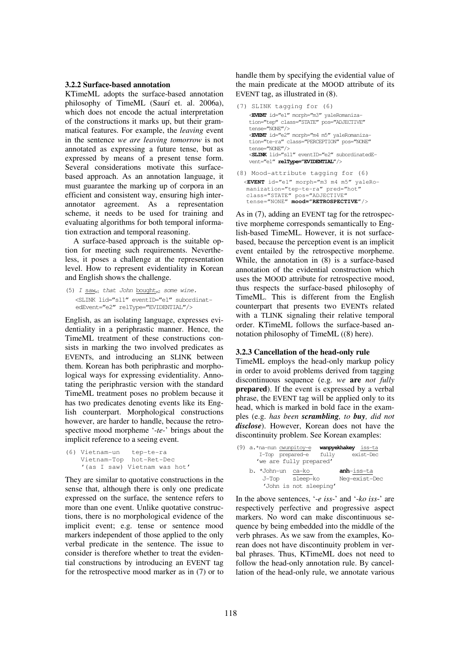#### **3.2.2 Surface-based annotation**

KTimeML adopts the surface-based annotation philosophy of TimeML (Saurí et. al. 2006a), which does not encode the actual interpretation of the constructions it marks up, but their grammatical features. For example, the *leaving* event in the sentence *we are leaving tomorrow* is not annotated as expressing a future tense, but as expressed by means of a present tense form. Several considerations motivate this surfacebased approach. As an annotation language, it must guarantee the marking up of corpora in an efficient and consistent way, ensuring high interannotator agreement. As a representation scheme, it needs to be used for training and evaluating algorithms for both temporal information extraction and temporal reasoning.

A surface-based approach is the suitable option for meeting such requirements. Nevertheless, it poses a challenge at the representation level. How to represent evidentiality in Korean and English shows the challenge.

(5) I saw<sub>el</sub> that John bought<sub>e2</sub> some wine. <SLINK lid="sl1" eventID="e1" subordinatedEvent="e2" relType="EVIDENTIAL"/>

English, as an isolating language, expresses evidentiality in a periphrastic manner. Hence, the TimeML treatment of these constructions consists in marking the two involved predicates as EVENTs, and introducing an SLINK between them. Korean has both periphrastic and morphological ways for expressing evidentiality. Annotating the periphrastic version with the standard TimeML treatment poses no problem because it has two predicates denoting events like its English counterpart. Morphological constructions however, are harder to handle, because the retrospective mood morpheme '-*te-*' brings about the implicit reference to a seeing event.

```
(6) Vietnam-un tep-te-ra 
    Vietnam-Top hot-Ret-Dec 
     '(as I saw) Vietnam was hot'
```
They are similar to quotative constructions in the sense that, although there is only one predicate expressed on the surface, the sentence refers to more than one event. Unlike quotative constructions, there is no morphological evidence of the implicit event; e.g. tense or sentence mood markers independent of those applied to the only verbal predicate in the sentence. The issue to consider is therefore whether to treat the evidential constructions by introducing an EVENT tag for the retrospective mood marker as in (7) or to

handle them by specifying the evidential value of the main predicate at the MOOD attribute of its EVENT tag, as illustrated in (8).

```
(7) SLINK tagging for (6) 
   <EVENT id="e1" morph="m3" yaleRomaniza-
   tion="tep" class="STATE" pos="ADJECTIVE" 
   tense="NONE"/> 
    <EVENT id="e2" morph="m4 m5" yaleRomaniza-
```
tion="te-ra" class="PERCEPTION" pos="NONE" tense="NONE"/> <**SLINK** lid="sl1" eventID="e2" subordinatedEvent="e1" **relType="EVIDENTIAL"**/>

(8) Mood-attribute tagging for (6) <**EVENT** id="e1" morph="m3 m4 m5" yaleRomanization="tep-te-ra" pred="hot" class="STATE" pos="ADJECTIVE" tense="NONE" **mood="RETROSPECTIVE"**/>

As in (7), adding an EVENT tag for the retrospective morpheme corresponds semantically to English-based TimeML. However, it is not surfacebased, because the perception event is an implicit event entailed by the retrospective morpheme. While, the annotation in (8) is a surface-based annotation of the evidential construction which uses the MOOD attribute for retrospective mood, thus respects the surface-based philosophy of TimeML. This is different from the English counterpart that presents two EVENTs related with a TLINK signaling their relative temporal order. KTimeML follows the surface-based annotation philosophy of TimeML ((8) here).

#### **3.2.3 Cancellation of the head-only rule**

TimeML employs the head-only markup policy in order to avoid problems derived from tagging discontinuous sequence (e.g. *we* **are** *not fully*  **prepared**). If the event is expressed by a verbal phrase, the EVENT tag will be applied only to its head, which is marked in bold face in the examples (e.g. *has been scrambling, to buy, did not disclose*). However, Korean does not have the discontinuity problem. See Korean examples:

| $(9)$ a.*na-nun cwunpitoy-e |                        |       | wanpyekhakey iss-ta |               |
|-----------------------------|------------------------|-------|---------------------|---------------|
|                             | I-Top prepared-e       | fully | exist-Dec           |               |
| 'we are fully prepared'     |                        |       |                     |               |
| b. *John-un ca-ko           |                        |       | anh-iss-ta          |               |
| J—Top                       | sleep-ko               |       |                     | Neq-exist-Dec |
|                             | 'John is not sleeping' |       |                     |               |

In the above sentences, '-*e iss*-' and '-*ko iss*-' are respectively perfective and progressive aspect markers. No word can make discontinuous sequence by being embedded into the middle of the verb phrases. As we saw from the examples, Korean does not have discontinuity problem in verbal phrases. Thus, KTimeML does not need to follow the head-only annotation rule. By cancellation of the head-only rule, we annotate various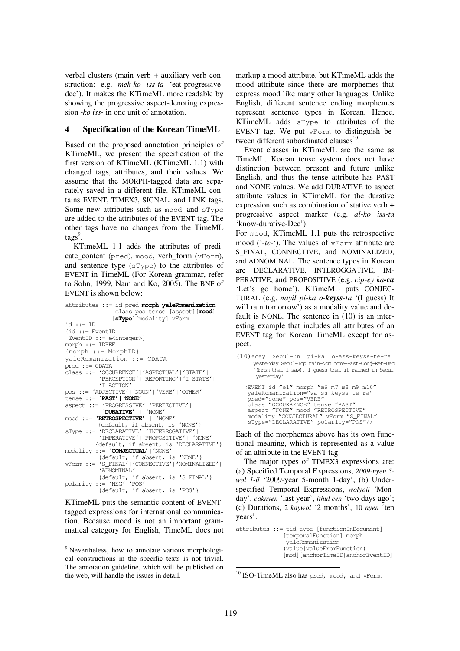verbal clusters (main verb + auxiliary verb construction: e.g. *mek-ko iss-ta* 'eat-progressivedec'). It makes the KTimeML more readable by showing the progressive aspect-denoting expression -*ko iss*- in one unit of annotation.

### **4 Specification of the Korean TimeML**

Based on the proposed annotation principles of KTimeML, we present the specification of the first version of KTimeML (KTimeML 1.1) with changed tags, attributes, and their values. We assume that the MORPH-tagged data are separately saved in a different file. KTimeML contains EVENT, TIMEX3, SIGNAL, and LINK tags. Some new attributes such as mood and sType are added to the attributes of the EVENT tag. The other tags have no changes from the TimeML tags<sup>9</sup>.

KTimeML 1.1 adds the attributes of predicate\_content (pred), mood, verb\_form (vForm), and sentence type (sType) to the attributes of EVENT in TimeML (For Korean grammar, refer to Sohn, 1999, Nam and Ko, 2005). The BNF of EVENT is shown below:

| attributes ::= id pred morph yaleRomanization      |  |  |  |  |  |
|----------------------------------------------------|--|--|--|--|--|
| class pos tense [aspect] [mood]                    |  |  |  |  |  |
| [sType] [modality] vForm                           |  |  |  |  |  |
| id ::= ID                                          |  |  |  |  |  |
| $id :: = EventID$                                  |  |  |  |  |  |
| EventID ::= $e$ <integer> }</integer>              |  |  |  |  |  |
| $morph :: = IDREF$                                 |  |  |  |  |  |
| ${morph : := MorphID}$                             |  |  |  |  |  |
| yaleRomanization ::= CDATA                         |  |  |  |  |  |
| $pred :: = CDATA$                                  |  |  |  |  |  |
| class: = 'OCCURRENCE'   'ASPECTUAL'   'STATE'      |  |  |  |  |  |
| 'PERCEPTION'   'REPORTING'   'I_STATE'             |  |  |  |  |  |
| 'I ACTION'                                         |  |  |  |  |  |
| pos ::= 'ADJECTIVE'   'NOUN'   'VERB'   'OTHER'    |  |  |  |  |  |
| tense ::= 'PAST'   'NONE'                          |  |  |  |  |  |
| aspect ::= 'PROGRESSIVE'   'PERFECTIVE'            |  |  |  |  |  |
| 'DURATIVE'   'NONE'                                |  |  |  |  |  |
| $\text{mod}$ ::= <b>'RETROSPECTIVE'</b>   'NONE'   |  |  |  |  |  |
| {default, if absent, is 'NONE'}                    |  |  |  |  |  |
| sType ::= 'DECLARATIVE'   'INTERROGATIVE'          |  |  |  |  |  |
| 'IMPERATIVE'   'PROPOSITIVE'   'NONE'              |  |  |  |  |  |
| {default, if absent, is 'DECLARATIVE'}             |  |  |  |  |  |
| modality ::= 'CONJECTUAL'   'NONE'                 |  |  |  |  |  |
| {default, if absent, is 'NONE'}                    |  |  |  |  |  |
| vForm ::= 'S FINAL'   'CONNECTIVE'   'NOMINALIZED' |  |  |  |  |  |
| 'ADNOMINAL'                                        |  |  |  |  |  |
| {default, if absent, is 'S_FINAL'}                 |  |  |  |  |  |
| polarity ::= 'NEG'   'POS'                         |  |  |  |  |  |
| {default, if absent, is 'POS'}                     |  |  |  |  |  |

KTimeML puts the semantic content of EVENTtagged expressions for international communication. Because mood is not an important grammatical category for English, TimeML does not markup a mood attribute, but KTimeML adds the mood attribute since there are morphemes that express mood like many other languages. Unlike English, different sentence ending morphemes represent sentence types in Korean. Hence, KTimeML adds sType to attributes of the EVENT tag. We put vForm to distinguish between different subordinated clauses $^{10}$ .

Event classes in KTimeML are the same as TimeML. Korean tense system does not have distinction between present and future unlike English, and thus the tense attribute has PAST and NONE values. We add DURATIVE to aspect attribute values in KTimeML for the durative expression such as combination of stative verb + progressive aspect marker (e.g. *al-ko iss-ta* 'know-durative-Dec').

For mood, KTimeML 1.1 puts the retrospective mood ('-*te*-'). The values of vForm attribute are S\_FINAL, CONNECTIVE, and NOMINALIZED, and ADNOMINAL. The sentence types in Korean are DECLARATIVE, INTEROGGATIVE, IM-PERATIVE, and PROPOSITIVE (e.g. *cip-ey ka-ca* 'Let's go home'). KTimeML puts CONJEC-TURAL (e.g. *nayil pi-ka o-keyss-ta* '(I guess) It will rain tomorrow') as a modality value and default is NONE. The sentence in (10) is an interesting example that includes all attributes of an EVENT tag for Korean TimeML except for aspect.

(10)ecey Seoul-un pi-ka o-ass-keyss-te-ra yesterday Seoul-Top rain-Nom come-Past-Conj-Ret-Dec '(From that I saw), I guess that it rained in Seoul yesterday' <EVENT id="e1" morph="m6 m7 m8 m9 m10" yaleRomanization="wa-ss-keyss-te-ra" pred="come" pos="VERB" class="OCCURRENCE" tense="PAST" aspect="NONE" mood="RETROSPECTIVE" modality="CONJECTURAL" vForm="S\_FINAL" sType="DECLARATIVE" polarity="POS"/>

Each of the morphemes above has its own functional meaning, which is represented as a value of an attribute in the EVENT tag.

The major types of TIMEX3 expressions are: (a) Specified Temporal Expressions, *2009-nyen 5 wol 1-il* '2009-year 5-month 1-day', (b) Underspecified Temporal Expressions, *wolyoil* 'Monday', *caknyen* 'last year', *ithul cen* 'two days ago'; (c) Durations, 2 *kaywol* '2 months', 10 *nyen* 'ten years'.

```
attributes ::= tid type [functionInDocument] 
                [temporalFunction] morph 
                 yaleRomanization 
                (value|valueFromFunction) 
                [mod][anchorTimeID|anchorEventID]
```

```
10 ISO-TimeML also has pred, mood, and vForm.
```
<sup>&</sup>lt;sup>9</sup> Nevertheless, how to annotate various morphological constructions in the specific texts is not trivial. The annotation guideline, which will be published on the web, will handle the issues in detail.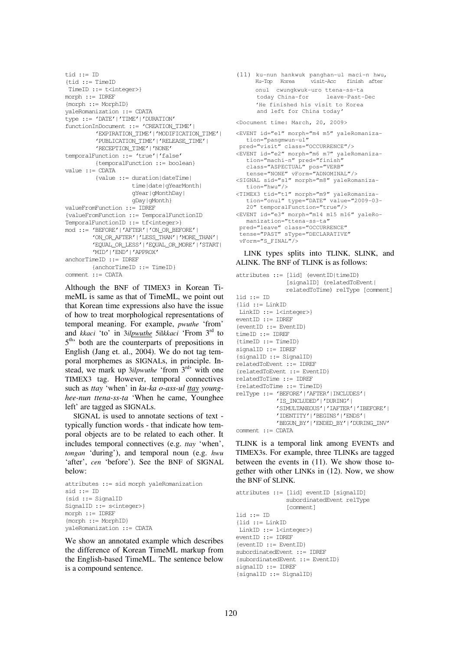```
\text{tid} := \text{ID}{tid ::= TimeID 
 TimeID :: = t <integer>}
morph ::= IDREF 
{morph ::= MorphID} 
yaleRomanization ::= CDATA 
type ::= 'DATE'|'TIME'|'DURATION' 
functionInDocument ::= 'CREATION_TIME'| 
          'EXPIRATION_TIME'|'MODIFICATION_TIME'| 
          'PUBLICATION_TIME'|'RELEASE_TIME'| 
          'RECEPTION_TIME'|'NONE' 
temporalFunction ::= 'true'|'false' 
          {temporalFunction ::= boolean} 
value ::= CDATA 
          {value ::= duration|dateTime| 
                      time|date|gYearMonth| 
                      gYear|gMonthDay| 
                      gDay|gMonth} 
valueFromFunction ::= IDREF 
{valueFromFunction ::= TemporalFunctionID 
TemporalFunctionID ::= tf<integer>}
mod ::= 'BEFORE'|'AFTER'|'ON_OR_BEFORE'| 
          'ON_OR_AFTER'|'LESS_THAN'|'MORE_THAN'| 
          'EQUAL_OR_LESS'|'EQUAL_OR_MORE'|'START| 
          'MID'|'END'|'APPROX' 
anchorTimeID ::= TDREF {anchorTimeID ::= TimeID} 
comment ::= CDATA
```
Although the BNF of TIMEX3 in Korean TimeML is same as that of TimeML, we point out that Korean time expressions also have the issue of how to treat morphological representations of temporal meaning. For example, *pwuthe* 'from' and *kkaci* 'to' in 3*ilpwuthe* 5il*kkaci* 'From 3rd to 5<sup>th</sup> both are the counterparts of prepositions in English (Jang et. al., 2004). We do not tag temporal morphemes as SIGNALs, in principle. Instead, we mark up 3*ilpwuthe* 'from 3rd' with one TIMEX3 tag. However, temporal connectives such as *ttay* 'when' in *ku-ka o-ass-ul ttay* young*hee-nun ttena-ss-ta* 'When he came, Younghee left' are tagged as SIGNALs.

SIGNAL is used to annotate sections of text typically function words - that indicate how temporal objects are to be related to each other. It includes temporal connectives (e.g. *ttay* 'when', *tongan* 'during'), and temporal noun (e.g. *hwu* 'after', *cen* 'before'). See the BNF of SIGNAL below:

```
attributes ::= sid morph yaleRomanization 
sid :: = ID{sid ::= SignalID 
SignalID ::= s<integer>}
morph ::= IDREF 
{morph ::= MorphID} 
yaleRomanization ::= CDATA
```
We show an annotated example which describes the difference of Korean TimeML markup from the English-based TimeML. The sentence below is a compound sentence.

(11) ku-nun hankwuk panghan-ul maci-n hwu, Ku-Top Korea visit-Acc finish after onul cwungkwuk-uro ttena-ss-ta leave-Past-Dec 'He finished his visit to Korea and left for China today'

<Document time: March, 20, 2009>

```
<EVENT id="e1" morph="m4 m5" yaleRomaniza-
  tion="pangmwun-ul" 
  pred="visit" class="OCCURRENCE"/> 
<EVENT id="e2" morph="m6 m7" yaleRomaniza-
   tion="machi-n" pred="finish" 
   class="ASPECTUAL" pos="VERB" 
   tense="NONE" vForm="ADNOMINAL"/> 
<SIGNAL sid="s1" morph="m8" yaleRomaniza-
   tion="hwu"/> 
<TIMEX3 tid="t1" morph="m9" yaleRomaniza-
   tion="onul" type="DATE" value="2009-03-
  20" temporalFunction="true"/> 
<EVENT id="e3" morph="m14 m15 m16" yaleRo-
  manization="ttena-ss-ta" 
  pred="leave" class="OCCURRENCE" 
  tense="PAST" sType="DECLARATIVE" 
  vForm="S_FINAL"/>
```
LINK types splits into TLINK, SLINK, and ALINK. The BNF of TLINK is as follows:

```
attributes ::= [lid] (eventID|timeID) 
                 [signalID] (relatedToEvent| 
                relatedToTime) relType [comment] 
lid ::= ID
{lid ::= LinkID 
LinkID ::= l<integer>}
eventID ::= IDREF
{eventID ::= EventID} 
timeID ::= IDREF 
{timeID :: = TimeID}signalID ::= IDREF 
{signalID ::= SignalID} 
relatedToEvent ::= IDREF 
{relatedToEvent ::= EventID} 
relatedToTime ::= IDREF 
{relatedToTime ::= TimeID} 
relType ::= 'BEFORE'|'AFTER'|INCLUDES'| 
             'IS_INCLUDED'|'DURING'| 
              'SIMULTANEOUS'|'IAFTER'|'IBEFORE'| 
              'IDENTITY'|'BEGINS'|'ENDS'| 
             'BEGUN_BY'|'ENDED_BY'|'DURING_INV' 
comment. ::= CDATA
```
TLINK is a temporal link among EVENTs and TIMEX3s. For example, three TLINKs are tagged between the events in (11). We show those together with other LINKs in (12). Now, we show the BNF of SLINK.

```
attributes ::= [lid] eventID [signalID] 
                 subordinatedEvent relType 
                 [comment] 
list ::= TD{lid ::= LinkID 
LinkID :: = 1 <integer>}
eventID ::= IDREF
{eventID ::= EventID} 
subordinatedEvent ::= IDREF 
{subordinatedEvent ::= EventID} 
signalID ::= IDREF 
{signalID ::= SignalID}
```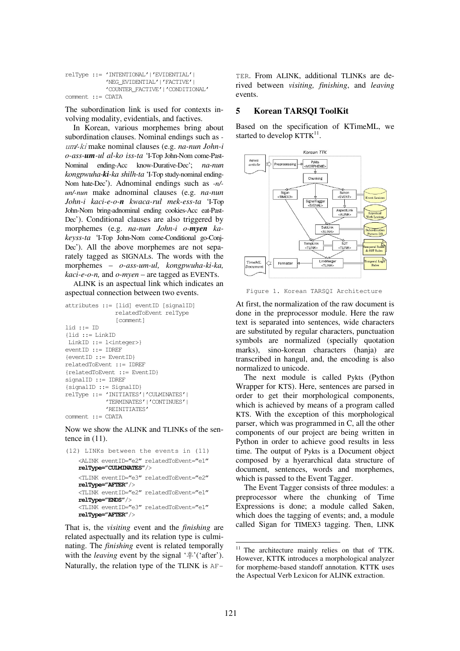```
relType ::= 'INTENTIONAL'|'EVIDENTIAL'| 
              'NEG_EVIDENTIAL'|'FACTIVE'| 
              'COUNTER_FACTIVE'|'CONDITIONAL' 
comment \tcdot = \tCDATA
```
The subordination link is used for contexts involving modality, evidentials, and factives.

In Korean, various morphemes bring about subordination clauses. Nominal endings such as  um*/-*ki make nominal clauses (e.g. *na-nun John-i o-ass-um-ul al-ko iss-ta* 'I-Top John-Nom come-Past-Nominal ending-Acc know-Durative-Dec'; *na-nun kongpwuha-ki-ka shilh-ta* 'I-Top study-nominal ending-Nom hate-Dec'). Adnominal endings such as *-n/ un/-nun* make adnominal clauses (e.g. *na-nun John-i kaci-e-o-n kwaca-rul mek-ess-ta* 'I-Top John-Nom bring-adnominal ending cookies-Acc eat-Past-Dec'). Conditional clauses are also triggered by morphemes (e.g. *na-nun John-i o-myen kakeyss-ta* 'I-Top John-Nom come-Conditional go-Conj-Dec'). All the above morphemes are not separately tagged as SIGNALs. The words with the morphemes – *o-ass-um-ul, kongpwuha-ki-ka, kaci-e-o-n,* and *o-myen* – are tagged as EVENTs.

ALINK is an aspectual link which indicates an aspectual connection between two events.

```
attributes ::= [lid] eventID [signalID] 
                 relatedToEvent relType 
                 [comment] 
lid := TD{lid ::= LinkID 
LinkID ::= l<integer>}
eventID ::= IDREF
{eventID ::= EventID} 
relatedToEvent ::= IDREF 
{relatedToEvent ::= EventID} 
signalID ::= IDREF 
{signalID ::= SignalID} 
relType ::= 'INITIATES'|'CULMINATES'| 
              'TERMINATES'|'CONTINUES'| 
              'REINITIATES' 
comment ::= CDATA
```
Now we show the ALINK and TLINKs of the sentence in (11).

```
(12) LINKs between the events in (11) 
   <ALINK eventID="e2" relatedToEvent="e1" 
   relType="CULMINATES"/> 
   <TLINK eventID="e3" relatedToEvent="e2" 
   relType="AFTER"/> 
   <TLINK eventID="e2" relatedToEvent="e1" 
   relType="ENDS"/> 
   <TLINK eventID="e3" relatedToEvent="e1" 
   relType="AFTER"/>
```
That is, the *visiting* event and the *finishing* are related aspectually and its relation type is culminating. The *finishing* event is related temporally with the *leaving* event by the signal '후'('after'). Naturally, the relation type of the TLINK is AF-

TER. From ALINK, additional TLINKs are derived between *visiting, finishing*, and *leaving* events.

#### **5 Korean TARSQI ToolKit**

Based on the specification of KTimeML, we started to develop  $KTTK<sup>11</sup>$ .



Figure 1. Korean TARSQI Architecture

At first, the normalization of the raw document is done in the preprocessor module. Here the raw text is separated into sentences, wide characters are substituted by regular characters, punctuation symbols are normalized (specially quotation marks), sino-korean characters (hanja) are transcribed in hangul, and, the encoding is also normalized to unicode.

The next module is called Pykts (Python Wrapper for KTS). Here, sentences are parsed in order to get their morphological components, which is achieved by means of a program called KTS. With the exception of this morphological parser, which was programmed in C, all the other components of our project are being written in Python in order to achieve good results in less time. The output of Pykts is a Document object composed by a hyerarchical data structure of document, sentences, words and morphemes, which is passed to the Event Tagger.

The Event Tagger consists of three modules: a preprocessor where the chunking of Time Expressions is done; a module called Saken, which does the tagging of events; and, a module called Sigan for TIMEX3 tagging. Then, LINK

<sup>&</sup>lt;sup>11</sup> The architecture mainly relies on that of TTK. However, KTTK introduces a morphological analyzer for morpheme-based standoff annotation. KTTK uses the Aspectual Verb Lexicon for ALINK extraction.